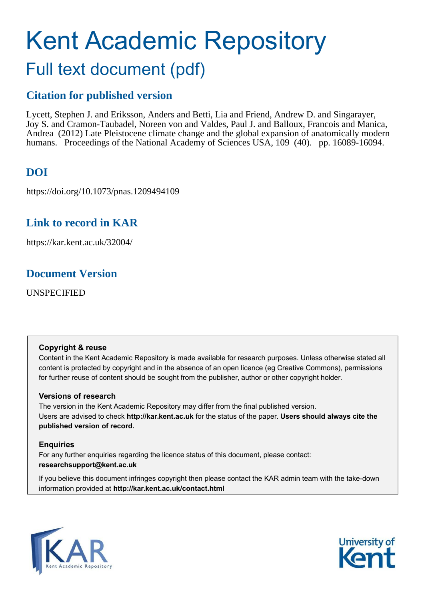# Kent Academic Repository Full text document (pdf)

# **Citation for published version**

Lycett, Stephen J. and Eriksson, Anders and Betti, Lia and Friend, Andrew D. and Singarayer, Joy S. and Cramon-Taubadel, Noreen von and Valdes, Paul J. and Balloux, Francois and Manica, Andrea (2012) Late Pleistocene climate change and the global expansion of anatomically modern humans. Proceedings of the National Academy of Sciences USA, 109 (40). pp. 16089-16094.

# **DOI**

https://doi.org/10.1073/pnas.1209494109

## **Link to record in KAR**

https://kar.kent.ac.uk/32004/

## **Document Version**

UNSPECIFIED

#### **Copyright & reuse**

Content in the Kent Academic Repository is made available for research purposes. Unless otherwise stated all content is protected by copyright and in the absence of an open licence (eg Creative Commons), permissions for further reuse of content should be sought from the publisher, author or other copyright holder.

#### **Versions of research**

The version in the Kent Academic Repository may differ from the final published version. Users are advised to check **http://kar.kent.ac.uk** for the status of the paper. **Users should always cite the published version of record.**

#### **Enquiries**

For any further enquiries regarding the licence status of this document, please contact: **researchsupport@kent.ac.uk**

If you believe this document infringes copyright then please contact the KAR admin team with the take-down information provided at **http://kar.kent.ac.uk/contact.html**



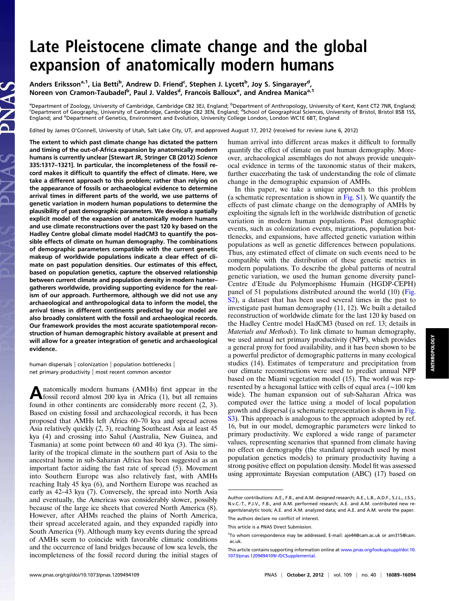# Late Pleistocene climate change and the global expansion of anatomically modern humans

Anders Eriksson<sup>a, 1</sup>, Lia Betti<sup>b</sup>, Andrew D. Friend<sup>c</sup>, Stephen J. Lycett<sup>b</sup>, Joy S. Singarayer<sup>d</sup>, Noreen von Cramon-Taubadel<sup>b</sup>, Paul J. Valdes<sup>d</sup>, Francois Balloux<sup>e</sup>, and Andrea Manica<sup>a, 1</sup>

<sup>a</sup>Department of Zoology, University of Cambridge, Cambridge CB2 3EJ, England; <sup>b</sup>Department of Anthropology, University of Kent, Kent CT2 7NR, England;<br><sup>c</sup>Department of Geography, University of Cambridge, Cambridge CB2 3E England; and <sup>e</sup>Department of Genetics, Environment and Evolution, University College London, London WC1E 6BT, England

Edited by James O'Connell, University of Utah, Salt Lake City, UT, and approved August 17, 2012 (received for review June 6, 2012)

The extent to which past climate change has dictated the pattern and timing of the out-of-Africa expansion by anatomically modern humans is currently unclear [Stewart JR, Stringer CB (2012) Science 335:1317–1321]. In particular, the incompleteness of the fossil record makes it difficult to quantify the effect of climate. Here, we take a different approach to this problem; rather than relying on the appearance of fossils or archaeological evidence to determine arrival times in different parts of the world, we use patterns of genetic variation in modern human populations to determine the plausibility of past demographic parameters. We develop a spatially explicit model of the expansion of anatomically modern humans and use climate reconstructions over the past 120 ky based on the Hadley Centre global climate model HadCM3 to quantify the possible effects of climate on human demography. The combinations of demographic parameters compatible with the current genetic makeup of worldwide populations indicate a clear effect of climate on past population densities. Our estimates of this effect, based on population genetics, capture the observed relationship between current climate and population density in modern hunter– gatherers worldwide, providing supporting evidence for the realism of our approach. Furthermore, although we did not use any archaeological and anthropological data to inform the model, the arrival times in different continents predicted by our model are also broadly consistent with the fossil and archaeological records. Our framework provides the most accurate spatiotemporal reconstruction of human demographic history available at present and will allow for a greater integration of genetic and archaeological evidence.

human dispersals | colonization | population bottlenecks | net primary productivity | most recent common ancestor

A natomically modern humans (AMHs) first appear in the fossil record almost 200 kya in Africa (1), but all remains natomically modern humans (AMHs) first appear in the found in other continents are considerably more recent (2, 3). Based on existing fossil and archaeological records, it has been proposed that AMHs left Africa 60–70 kya and spread across Asia relatively quickly (2, 3), reaching Southeast Asia at least 45 kya (4) and crossing into Sahul (Australia, New Guinea, and Tasmania) at some point between 60 and 40 kya (3). The similarity of the tropical climate in the southern part of Asia to the ancestral home in sub-Saharan Africa has been suggested as an important factor aiding the fast rate of spread (5). Movement into Southern Europe was also relatively fast, with AMHs reaching Italy 45 kya (6), and Northern Europe was reached as early as 42–43 kya (7). Conversely, the spread into North Asia and eventually, the Americas was considerably slower, possibly because of the large ice sheets that covered North America (8). However, after AHMs reached the plains of North America, their spread accelerated again, and they expanded rapidly into South America (9). Although many key events during the spread of AMHs seem to coincide with favorable climatic conditions and the occurrence of land bridges because of low sea levels, the incompleteness of the fossil record during the initial stages of human arrival into different areas makes it difficult to formally quantify the effect of climate on past human demography. Moreover, archaeological assemblages do not always provide unequivocal evidence in terms of the taxonomic status of their makers, further exacerbating the task of understanding the role of climate change in the demographic expansion of AMHs.

In this paper, we take a unique approach to this problem (a schematic representation is shown in [Fig. S1](http://www.pnas.org/lookup/suppl/doi:10.1073/pnas.1209494109/-/DCSupplemental/pnas.201209494SI.pdf?targetid=nameddest=SF1)). We quantify the effects of past climate change on the demography of AMHs by exploiting the signals left in the worldwide distribution of genetic variation in modern human populations. Past demographic events, such as colonization events, migrations, population bottlenecks, and expansions, have affected genetic variation within populations as well as genetic differences between populations. Thus, any estimated effect of climate on such events need to be compatible with the distribution of these genetic metrics in modern populations. To describe the global patterns of neutral genetic variation, we used the human genome diversity panel-Centre d'Etude du Polymorphisme Humain (HGDP-CEPH) panel of 51 populations distributed around the world (10) [\(Fig.](http://www.pnas.org/lookup/suppl/doi:10.1073/pnas.1209494109/-/DCSupplemental/pnas.201209494SI.pdf?targetid=nameddest=SF2) [S2](http://www.pnas.org/lookup/suppl/doi:10.1073/pnas.1209494109/-/DCSupplemental/pnas.201209494SI.pdf?targetid=nameddest=SF2)), a dataset that has been used several times in the past to investigate past human demography (11, 12). We built a detailed reconstruction of worldwide climate for the last 120 ky based on the Hadley Centre model HadCM3 (based on ref. 13; details in Materials and Methods). To link climate to human demography, we used annual net primary productivity (NPP), which provides a general proxy for food availability, and it has been shown to be a powerful predictor of demographic patterns in many ecological studies (14). Estimates of temperature and precipitation from our climate reconstructions were used to predict annual NPP based on the Miami vegetation model (15). The world was represented by a hexagonal lattice with cells of equal area (∼100 km wide). The human expansion out of sub-Saharan Africa was computed over the lattice using a model of local population growth and dispersal (a schematic representation is shown in [Fig.](http://www.pnas.org/lookup/suppl/doi:10.1073/pnas.1209494109/-/DCSupplemental/pnas.201209494SI.pdf?targetid=nameddest=SF3) [S3](http://www.pnas.org/lookup/suppl/doi:10.1073/pnas.1209494109/-/DCSupplemental/pnas.201209494SI.pdf?targetid=nameddest=SF3)). This approach is analogous to the approach adopted by ref. 16, but in our model, demographic parameters were linked to primary productivity. We explored a wide range of parameter values, representing scenarios that spanned from climate having no effect on demography (the standard approach used by most population genetics models) to primary productivity having a strong positive effect on population density. Model fit was assessed using approximate Bayesian computation (ABC) (17) based on

Author contributions: A.E., F.B., and A.M. designed research; A.E., L.B., A.D.F., S.J.L., J.S.S., N.v.C.-T., P.J.V., F.B., and A.M. performed research; A.E. and A.M. contributed new reagents/analytic tools; A.E. and A.M. analyzed data; and A.E. and A.M. wrote the paper. The authors declare no conflict of interest.

This article is a PNAS Direct Submission.

<sup>1</sup> To whom correspondence may be addressed. E-mail: [aje44@cam.ac.uk](mailto:aje44@cam.ac.uk) or [am315@cam.](mailto:am315@cam.ac.uk) [ac.uk.](mailto:am315@cam.ac.uk)

This article contains supporting information online at [www.pnas.org/lookup/suppl/doi:10.](http://www.pnas.org/lookup/suppl/doi:10.1073/pnas.1209494109/-/DCSupplemental) [1073/pnas.1209494109/-/DCSupplemental](http://www.pnas.org/lookup/suppl/doi:10.1073/pnas.1209494109/-/DCSupplemental).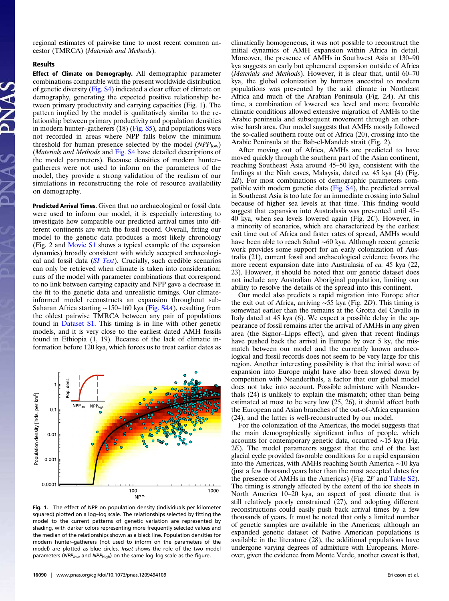regional estimates of pairwise time to most recent common ancestor (TMRCA) (Materials and Methods).

#### Results

Effect of Climate on Demography. All demographic parameter combinations compatible with the present worldwide distribution of genetic diversity [\(Fig. S4](http://www.pnas.org/lookup/suppl/doi:10.1073/pnas.1209494109/-/DCSupplemental/pnas.201209494SI.pdf?targetid=nameddest=SF4)) indicated a clear effect of climate on demography, generating the expected positive relationship between primary productivity and carrying capacities (Fig. 1). The pattern implied by the model is qualitatively similar to the relationship between primary productivity and population densities in modern hunter–gatherers (18) ([Fig. S5\)](http://www.pnas.org/lookup/suppl/doi:10.1073/pnas.1209494109/-/DCSupplemental/pnas.201209494SI.pdf?targetid=nameddest=SF5), and populations were not recorded in areas where NPP falls below the minimum threshold for human presence selected by the model  $(NPP_{low})$ (Materials and Methods and [Fig. S4](http://www.pnas.org/lookup/suppl/doi:10.1073/pnas.1209494109/-/DCSupplemental/pnas.201209494SI.pdf?targetid=nameddest=SF4) have detailed descriptions of the model parameters). Because densities of modern hunter– gatherers were not used to inform on the parameters of the model, they provide a strong validation of the realism of our simulations in reconstructing the role of resource availability on demography.

Predicted Arrival Times. Given that no archaeological or fossil data were used to inform our model, it is especially interesting to investigate how compatible our predicted arrival times into different continents are with the fossil record. Overall, fitting our model to the genetic data produces a most likely chronology (Fig. 2 and [Movie S1](http://www.pnas.org/lookup/suppl/doi:10.1073/pnas.1209494109/-/DCSupplemental/sm01.avi) shows a typical example of the expansion dynamics) broadly consistent with widely accepted archaeological and fossil data  $(SI \text{ Text})$ . Crucially, such credible scenarios can only be retrieved when climate is taken into consideration; runs of the model with parameter combinations that correspond to no link between carrying capacity and NPP gave a decrease in the fit to the genetic data and unrealistic timings. Our climateinformed model reconstructs an expansion throughout sub-Saharan Africa starting ∼150–160 kya [\(Fig. S4](http://www.pnas.org/lookup/suppl/doi:10.1073/pnas.1209494109/-/DCSupplemental/pnas.201209494SI.pdf?targetid=nameddest=SF4)A), resulting from the oldest pairwise TMRCA between any pair of populations found in [Dataset S1.](http://www.pnas.org/lookup/suppl/doi:10.1073/pnas.1209494109/-/DCSupplemental/sd01.xls) This timing is in line with other genetic models, and it is very close to the earliest dated AMH fossils found in Ethiopia (1, 19). Because of the lack of climatic information before 120 kya, which forces us to treat earlier dates as



Fig. 1. The effect of NPP on population density (individuals per kilometer squared) plotted on a log–log scale. The relationships selected by fitting the model to the current patterns of genetic variation are represented by shading, with darker colors representing more frequently selected values and the median of the relationships shown as a black line. Population densities for modern hunter–gatherers (not used to inform on the parameters of the model) are plotted as blue circles. Inset shows the role of the two model parameters (NPP<sub>low</sub> and NPP<sub>high</sub>) on the same log–log scale as the figure.

climatically homogeneous, it was not possible to reconstruct the initial dynamics of AMH expansion within Africa in detail. Moreover, the presence of AMHs in Southwest Asia at 130–90 kya suggests an early but ephemeral expansion outside of Africa (Materials and Methods). However, it is clear that, until 60–70 kya, the global colonization by humans ancestral to modern populations was prevented by the arid climate in Northeast Africa and much of the Arabian Peninsula (Fig. 2A). At this time, a combination of lowered sea level and more favorable climatic conditions allowed extensive migration of AMHs to the Arabic peninsula and subsequent movement through an otherwise harsh area. Our model suggests that AMHs mostly followed the so-called southern route out of Africa (20), crossing into the Arabic Peninsula at the Bab-el-Mandeb strait (Fig. 2).

After moving out of Africa, AMHs are predicted to have moved quickly through the southern part of the Asian continent, reaching Southeast Asia around 45–50 kya, consistent with the findings at the Niah caves, Malaysia, dated ca. 45 kya (4) (Fig. 2B). For most combinations of demographic parameters compatible with modern genetic data ([Fig. S4](http://www.pnas.org/lookup/suppl/doi:10.1073/pnas.1209494109/-/DCSupplemental/pnas.201209494SI.pdf?targetid=nameddest=SF4)), the predicted arrival in Southeast Asia is too late for an immediate crossing into Sahul because of higher sea levels at that time. This finding would suggest that expansion into Australasia was prevented until 45– 40 kya, when sea levels lowered again (Fig. 2C). However, in a minority of scenarios, which are characterized by the earliest exit time out of Africa and faster rates of spread, AMHs would have been able to reach Sahul ∼60 kya. Although recent genetic work provides some support for an early colonization of Australia (21), current fossil and archaeological evidence favors the more recent expansion date into Australasia of *ca*. 45 kya (22, 23). However, it should be noted that our genetic dataset does not include any Australian Aboriginal population, limiting our ability to resolve the details of the spread into this continent.

Our model also predicts a rapid migration into Europe after the exit out of Africa, arriving ∼55 kya (Fig. 2D). This timing is somewhat earlier than the remains at the Grotta del Cavallo in Italy dated at 45 kya (6). We expect a possible delay in the appearance of fossil remains after the arrival of AMHs in any given area (the Signor–Lipps effect), and given that recent findings have pushed back the arrival in Europe by over 5 ky, the mismatch between our model and the currently known archaeological and fossil records does not seem to be very large for this region. Another interesting possibility is that the initial wave of expansion into Europe might have also been slowed down by competition with Neanderthals, a factor that our global model does not take into account. Possible admixture with Neanderthals (24) is unlikely to explain the mismatch; other than being estimated at most to be very low (25, 26), it should affect both the European and Asian branches of the out-of-Africa expansion (24), and the latter is well-reconstructed by our model.

For the colonization of the Americas, the model suggests that the main demographically significant influx of people, which accounts for contemporary genetic data, occurred ∼15 kya (Fig. 2E). The model parameters suggest that the end of the last glacial cycle provided favorable conditions for a rapid expansion into the Americas, with AMHs reaching South America ∼10 kya (just a few thousand years later than the most accepted dates for the presence of AMHs in the Americas) (Fig. 2F and [Table S2\)](http://www.pnas.org/lookup/suppl/doi:10.1073/pnas.1209494109/-/DCSupplemental/pnas.201209494SI.pdf?targetid=nameddest=ST2). The timing is strongly affected by the extent of the ice sheets in North America 10–20 kya, an aspect of past climate that is still relatively poorly constrained (27), and adopting different reconstructions could easily push back arrival times by a few thousands of years. It must be noted that only a limited number of genetic samples are available in the Americas; although an expanded genetic dataset of Native American populations is available in the literature (28), the additional populations have undergone varying degrees of admixture with Europeans. Moreover, given the evidence from Monte Verde, another caveat is that,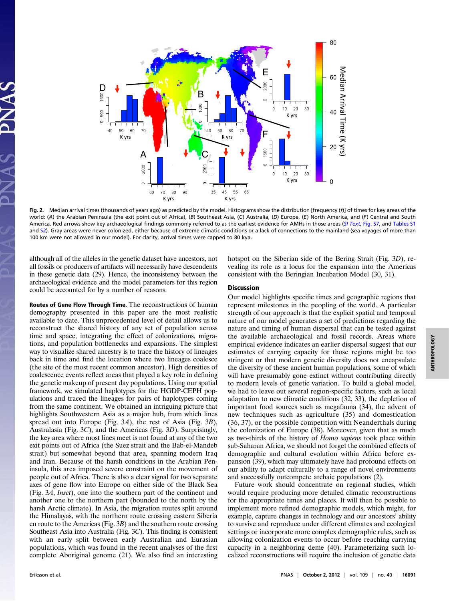

Fig. 2. Median arrival times (thousands of years ago) as predicted by the model. Histograms show the distribution [frequency (f)] of times for key areas of the world: (A) the Arabian Peninsula (the exit point out of Africa), (B) Southeast Asia, (C) Australia, (D) Europe, (E) North America, and (F) Central and South America. Red arrows show key archaeological findings commonly referred to as the earliest evidence for AMHs in those areas ([SI Text](http://www.pnas.org/lookup/suppl/doi:10.1073/pnas.1209494109/-/DCSupplemental/pnas.201209494SI.pdf?targetid=nameddest=STXT), [Fig. S7](http://www.pnas.org/lookup/suppl/doi:10.1073/pnas.1209494109/-/DCSupplemental/pnas.201209494SI.pdf?targetid=nameddest=SF7), and [Tables S1](http://www.pnas.org/lookup/suppl/doi:10.1073/pnas.1209494109/-/DCSupplemental/pnas.201209494SI.pdf?targetid=nameddest=ST1) and [S2\)](http://www.pnas.org/lookup/suppl/doi:10.1073/pnas.1209494109/-/DCSupplemental/pnas.201209494SI.pdf?targetid=nameddest=ST2). Gray areas were never colonized, either because of extreme climatic conditions or a lack of connections to the mainland (sea voyages of more than 100 km were not allowed in our model). For clarity, arrival times were capped to 80 kya.

although all of the alleles in the genetic dataset have ancestors, not all fossils or producers of artifacts will necessarily have descendents in these genetic data (29). Hence, the inconsistency between the archaeological evidence and the model parameters for this region could be accounted for by a number of reasons.

Routes of Gene Flow Through Time. The reconstructions of human demography presented in this paper are the most realistic available to date. This unprecedented level of detail allows us to reconstruct the shared history of any set of population across time and space, integrating the effect of colonizations, migrations, and population bottlenecks and expansions. The simplest way to visualize shared ancestry is to trace the history of lineages back in time and find the location where two lineages coalesce (the site of the most recent common ancestor). High densities of coalescence events reflect areas that played a key role in defining the genetic makeup of present day populations. Using our spatial framework, we simulated haplotypes for the HGDP-CEPH populations and traced the lineages for pairs of haplotypes coming from the same continent. We obtained an intriguing picture that highlights Southwestern Asia as a major hub, from which lines spread out into Europe (Fig. 3A), the rest of Asia (Fig. 3B), Australasia (Fig. 3C), and the Americas (Fig. 3D). Surprisingly, the key area where most lines meet is not found at any of the two exit points out of Africa (the Suez strait and the Bab-el-Mandeb strait) but somewhat beyond that area, spanning modern Iraq and Iran. Because of the harsh conditions in the Arabian Peninsula, this area imposed severe constraint on the movement of people out of Africa. There is also a clear signal for two separate axes of gene flow into Europe on either side of the Black Sea (Fig. 3A, Inset), one into the southern part of the continent and another one to the northern part (bounded to the north by the harsh Arctic climate). In Asia, the migration routes split around the Himalayas, with the northern route crossing eastern Siberia en route to the Americas (Fig. 3B) and the southern route crossing Southeast Asia into Australia (Fig. 3C). This finding is consistent with an early split between early Australian and Eurasian populations, which was found in the recent analyses of the first complete Aboriginal genome (21). We also find an interesting hotspot on the Siberian side of the Bering Strait (Fig. 3D), revealing its role as a locus for the expansion into the Americas consistent with the Beringian Incubation Model (30, 31).

#### **Discussion**

Our model highlights specific times and geographic regions that represent milestones in the peopling of the world. A particular strength of our approach is that the explicit spatial and temporal nature of our model generates a set of predictions regarding the nature and timing of human dispersal that can be tested against the available archaeological and fossil records. Areas where empirical evidence indicates an earlier dispersal suggest that our estimates of carrying capacity for those regions might be too stringent or that modern genetic diversity does not encapsulate the diversity of these ancient human populations, some of which will have presumably gone extinct without contributing directly to modern levels of genetic variation. To build a global model, we had to leave out several region-specific factors, such as local adaptation to new climatic conditions (32, 33), the depletion of important food sources such as megafauna (34), the advent of new techniques such as agriculture (35) and domestication (36, 37), or the possible competition with Neanderthals during the colonization of Europe (38). Moreover, given that as much as two-thirds of the history of Homo sapiens took place within sub-Saharan Africa, we should not forget the combined effects of demographic and cultural evolution within Africa before expansion (39), which may ultimately have had profound effects on our ability to adapt culturally to a range of novel environments and successfully outcompete archaic populations (2).

Future work should concentrate on regional studies, which would require producing more detailed climatic reconstructions for the appropriate times and places. It will then be possible to implement more refined demographic models, which might, for example, capture changes in technology and our ancestors' ability to survive and reproduce under different climates and ecological settings or incorporate more complex demographic rules, such as allowing colonization events to occur before reaching carrying capacity in a neighboring deme (40). Parameterizing such localized reconstructions will require the inclusion of genetic data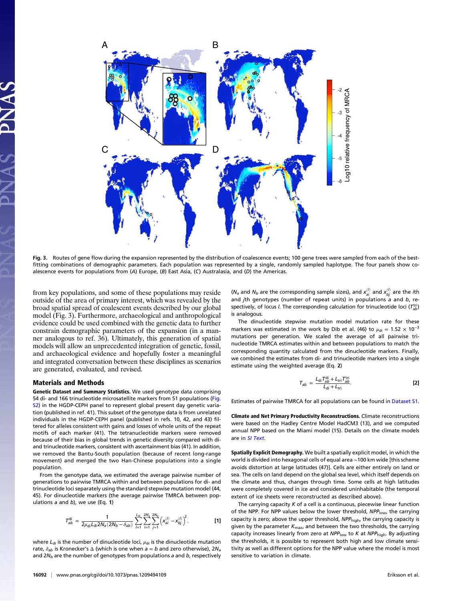

Fig. 3. Routes of gene flow during the expansion represented by the distribution of coalescence events; 100 gene trees were sampled from each of the bestfitting combinations of demographic parameters. Each population was represented by a single, randomly sampled haplotype. The four panels show coalescence events for populations from (A) Europe, (B) East Asia, (C) Australasia, and (D) the Americas.

from key populations, and some of these populations may reside outside of the area of primary interest, which was revealed by the broad spatial spread of coalescent events described by our global model (Fig. 3). Furthermore, archaeological and anthropological evidence could be used combined with the genetic data to further constrain demographic parameters of the expansion (in a manner analogous to ref. 36). Ultimately, this generation of spatial models will allow an unprecedented integration of genetic, fossil, and archaeological evidence and hopefully foster a meaningful and integrated conversation between these disciplines as scenarios are generated, evaluated, and revised.

#### Materials and Methods

Genetic Dataset and Summary Statistics. We used genotype data comprising 54 di- and 166 trinucleotide microsatellite markers from 51 populations [\(Fig.](http://www.pnas.org/lookup/suppl/doi:10.1073/pnas.1209494109/-/DCSupplemental/pnas.201209494SI.pdf?targetid=nameddest=SF2) [S2](http://www.pnas.org/lookup/suppl/doi:10.1073/pnas.1209494109/-/DCSupplemental/pnas.201209494SI.pdf?targetid=nameddest=SF2)) in the HGDP-CEPH panel to represent global present day genetic variation (published in ref. 41). This subset of the genotype data is from unrelated individuals in the HGDP-CEPH panel (published in refs. 10, 42, and 43) filtered for alleles consistent with gains and losses of whole units of the repeat motifs of each marker (41). The tetranucleotide markers were removed because of their bias in global trends in genetic diversity compared with diand trinucleotide markers, consistent with ascertainment bias (41). In addition, we removed the Bantu-South population (because of recent long-range movement) and merged the two Han-Chinese populations into a single population.

From the genotype data, we estimated the average pairwise number of generations to pairwise TMRCA within and between populations for di- and trinucleotide loci separately using the standard stepwise mutation model (44, 45). For dinucleotide markers (the average pairwise TMRCA between populations  $a$  and  $b$ ), we use (Eq. 1)

$$
T_{ab}^{di} = \frac{1}{2\mu_{di}L_{di}2N_a(2N_b - \delta_{ab})} \sum_{l=1}^{L_{di}} \sum_{i=1}^{2N_a} \sum_{j=1}^{2N_b} \left(x_{ai}^{(l)} - x_{bj}^{(l)}\right)^2,
$$
 [1]

where  $L_{di}$  is the number of dinucleotide loci,  $\mu_{di}$  is the dinucleotide mutation rate,  $\delta_{ab}$  is Kronecker's  $\Delta$  (which is one when  $a = b$  and zero otherwise), 2 $N_a$ and  $2N_b$  are the number of genotypes from populations a and b, respectively

( $N_a$  and  $N_b$  are the corresponding sample sizes), and  $x_{ai}^{(l)}$  and  $x_{bj}^{(l)}$  are the *i*th and jth genotypes (number of repeat units) in populations  $a$  and  $b$ , respectively, of locus *l*. The corresponding calculation for trinucleotide loci ( $T_{ab}^{\rm tri})$ is analogous.

The dinucleotide stepwise mutation model mutation rate for these markers was estimated in the work by Dib et al. (46) to  $\mu_{di} = 1.52 \times 10^{-3}$ mutations per generation. We scaled the average of all pairwise trinucleotide TMRCA estimates within and between populations to match the corresponding quantity calculated from the dinucleotide markers. Finally, we combined the estimates from di- and trinucleotide markers into a single estimate using the weighted average (Eq. 2)

$$
T_{ab} = \frac{L_{di} T_{ab}^{di} + L_{tri} T_{ab}^{tri}}{L_{di} + L_{tri}}.
$$
 [2]

Estimates of pairwise TMRCA for all populations can be found in [Dataset S1.](http://www.pnas.org/lookup/suppl/doi:10.1073/pnas.1209494109/-/DCSupplemental/sd01.xls)

Climate and Net Primary Productivity Reconstructions. Climate reconstructions were based on the Hadley Centre Model HadCM3 (13), and we computed annual NPP based on the Miami model (15). Details on the climate models are in [SI Text](http://www.pnas.org/lookup/suppl/doi:10.1073/pnas.1209494109/-/DCSupplemental/pnas.201209494SI.pdf?targetid=nameddest=STXT).

Spatially Explicit Demography. We built a spatially explicit model, in which the world is divided into hexagonal cells of equal area ∼100 km wide [this scheme avoids distortion at large latitudes (47)]. Cells are either entirely on land or sea. The cells on land depend on the global sea level, which itself depends on the climate and thus, changes through time. Some cells at high latitudes were completely covered in ice and considered uninhabitable (the temporal extent of ice sheets were reconstructed as described above).

The carrying capacity  $K$  of a cell is a continuous, piecewise linear function of the NPP. For NPP values below the lower threshold,  $NPP_{\text{low}}$ , the carrying capacity is zero; above the upper threshold,  $NPP_{\text{high}}$ , the carrying capacity is given by the parameter  $K_{\text{max}}$ , and between the two thresholds, the carrying capacity increases linearly from zero at  $NPP_{\text{low}}$  to K at  $NPP_{\text{high}}$ . By adjusting the thresholds, it is possible to represent both high and low climate sensitivity as well as different options for the NPP value where the model is most sensitive to variation in climate.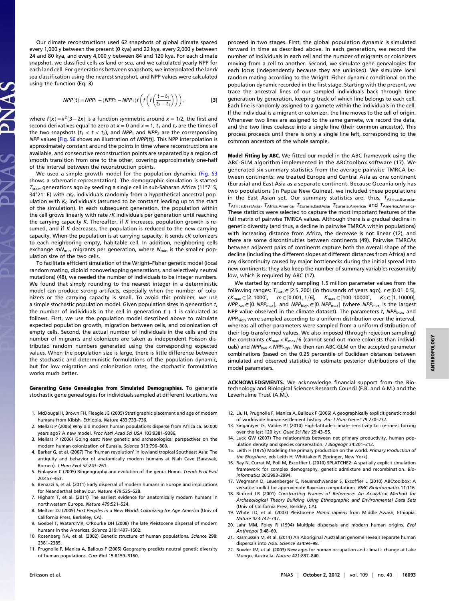Our climate reconstructions used 62 snapshots of global climate spaced every 1,000 y between the present (0 kya) and 22 kya, every 2,000 y between 24 and 80 kya, and every 4,000 y between 84 and 120 kya. For each climate snapshot, we classified cells as land or sea, and we calculated yearly NPP for each land cell. For generations between snapshots, we interpolated the land/ sea classification using the nearest snapshot, and NPP values were calculated using the function (Eq. 3)

$$
NPP(t) = NPP_1 + (NPP_2 - NPP_1)f\left(f\left(\frac{t-t_1}{t_2 - t_1}\right)\right),
$$
 [3]

where  $f(x) = x^2(3-2x)$  is a function symmetric around  $x = 1/2$ , the first and second derivatives equal to zero at  $x = 0$  and  $x = 1$ ,  $t_1$  and  $t_2$  are the times of the two snapshots  $(t_1 < t < t_2)$ , and NPP<sub>1</sub> and NPP<sub>2</sub> are the corresponding  $NPP$  values [[Fig. S6](http://www.pnas.org/lookup/suppl/doi:10.1073/pnas.1209494109/-/DCSupplemental/pnas.201209494SI.pdf?targetid=nameddest=SF6) shows an illustration of  $NPP(t)$ ]. This NPP interpolation is approximately constant around the points in time where reconstructions are available, and consecutive reconstruction points are separated by a region of smooth transition from one to the other, covering approximately one-half of the interval between the reconstruction points.

We used a simple growth model for the population dynamics [\(Fig. S3](http://www.pnas.org/lookup/suppl/doi:10.1073/pnas.1209494109/-/DCSupplemental/pnas.201209494SI.pdf?targetid=nameddest=SF3) shows a schematic representation). The demographic simulation is started  $T_{\text{start}}$  generations ago by seeding a single cell in sub-Saharan Africa (11°7′ S, 34°21′ E) with  $cK_0$  individuals randomly from a hypothetical ancestral population with  $K_0$  individuals (assumed to be constant leading up to the start of the simulation). In each subsequent generation, the population within the cell grows linearly with rate  $rK$  individuals per generation until reaching the carrying capacity  $K$ . Thereafter, if  $K$  increases, population growth is resumed, and if  $K$  decreases, the population is reduced to the new carrying capacity. When the population is at carrying capacity, it sends  $cK$  colonizers to each neighboring empty, habitable cell. In addition, neighboring cells exchange  $mN<sub>min</sub>$  migrants per generation, where  $N<sub>min</sub>$  is the smaller population size of the two cells.

To facilitate efficient simulation of the Wright–Fisher genetic model (local random mating, diploid nonoverlapping generations, and selectively neutral mutations) (48), we needed the number of individuals to be integer numbers. We found that simply rounding to the nearest integer in a deterministic model can produce strong artifacts, especially when the number of colonizers or the carrying capacity is small. To avoid this problem, we use a simple stochastic population model. Given population sizes in generation t, the number of individuals in the cell in generation  $t + 1$  is calculated as follows. First, we use the population model described above to calculate expected population growth, migration between cells, and colonization of empty cells. Second, the actual number of individuals in the cells and the number of migrants and colonizers are taken as independent Poisson distributed random numbers generated using the corresponding expected values. When the population size is large, there is little difference between the stochastic and deterministic formulations of the population dynamic, but for low migration and colonization rates, the stochastic formulation works much better.

Generating Gene Genealogies from Simulated Demographies. To generate stochastic gene genealogies for individuals sampled at different locations, we

- 1. McDougall I, Brown FH, Fleagle JG (2005) Stratigraphic placement and age of modern humans from Kibish, Ethiopia. Nature 433:733–736.
- 2. Mellars P (2006) Why did modern human populations disperse from Africa ca. 60,000 years ago? A new model. Proc Natl Acad Sci USA 103:9381–9386.
- 3. Mellars P (2006) Going east: New genetic and archaeological perspectives on the modern human colonization of Eurasia. Science 313:796–800.
- 4. Barker G, et al. (2007) The 'human revolution' in lowland tropical Southeast Asia: The antiquity and behavior of anatomically modern humans at Niah Cave (Sarawak, Borneo). J Hum Evol 52:243–261.
- 5. Finlayson C (2005) Biogeography and evolution of the genus Homo. Trends Ecol Evol 20:457–463.
- 6. Benazzi S, et al. (2011) Early dispersal of modern humans in Europe and implications for Neanderthal behaviour. Nature 479:525–528.
- 7. Higham T, et al. (2011) The earliest evidence for anatomically modern humans in northwestern Europe. Nature 479:521–524.
- 8. Meltzer DJ (2009) First Peoples in a New World: Colonizing Ice Age America (Univ of California Press, Berkeley, CA).
- 9. Goebel T, Waters MR, O'Rourke DH (2008) The late Pleistocene dispersal of modern humans in the Americas. Science 319:1497–1502.
- 10. Rosenberg NA, et al. (2002) Genetic structure of human populations. Science 298: 2381–2385.
- 11. Prugnolle F, Manica A, Balloux F (2005) Geography predicts neutral genetic diversity of human populations. Curr Biol 15:R159–R160.

proceed in two stages. First, the global population dynamic is simulated forward in time as described above. In each generation, we record the number of individuals in each cell and the number of migrants or colonizers moving from a cell to another. Second, we simulate gene genealogies for each locus (independently because they are unlinked). We simulate local random mating according to the Wright–Fisher dynamic conditional on the population dynamic recorded in the first stage. Starting with the present, we trace the ancestral lines of our sampled individuals back through time generation by generation, keeping track of which line belongs to each cell. Each line is randomly assigned to a gamete within the individuals in the cell. If the individual is a migrant or colonizer, the line moves to the cell of origin. Whenever two lines are assigned to the same gamete, we record the data, and the two lines coalesce into a single line (their common ancestor). This process proceeds until there is only a single line left, corresponding to the common ancestors of the whole sample.

Model Fitting by ABC. We fitted our model in the ABC framework using the ABC-GLM algorithm implemented in the ABCtoolbox software (17). We generated six summary statistics from the average pairwise TMRCA between continents: we treated Europe and Central Asia as one continent (Eurasia) and East Asia as a separate continent. Because Oceania only has two populations (in Papua New Guinea), we included these populations in the East Asian set. Our summary statistics are, thus,  $T_{\text{Africa, Eurasia}}$  $T_{\text{Africa},\text{EastAsia}}$ ,  $T_{\text{Africa},\text{America}}$ ,  $T_{\text{Eurasia},\text{Easta}}$ ,  $T_{\text{Eurasia},\text{America}}$ , and  $T_{\text{America},\text{America}}$ . These statistics were selected to capture the most important features of the full matrix of pairwise TMRCA values. Although there is a gradual decline in genetic diversity (and thus, a decline in pairwise TMRCA within populations) with increasing distance from Africa, the decrease is not linear (12), and there are some discontinuities between continents (49). Pairwise TMRCAs between adjacent pairs of continents capture both the overall shape of the decline (including the different slopes at different distances from Africa) and any discontinuity caused by major bottlenecks during the initial spread into new continents; they also keep the number of summary variables reasonably low, which is required by ABC (17).

We started by randomly sampling 1.5 million parameter values from the following ranges:  $T_{start} \in [2.5, 200]$  (in thousands of years ago),  $r \in [0.01, 0.5]$ ,  $cK_{\text{max}} \in [2, 1000], \quad m \in [0.001, 1/6], \quad K_{\text{max}} \in [100, 10000], \quad K_0 \in [1, 10000],$  $NPP_{\text{low}} \in [0, NPP_{\text{max}}]$ , and  $NPP_{\text{high}} \in [0, NPP_{\text{max}}]$  (where  $NPP_{\text{max}}$  is the largest NPP value observed in the climate dataset). The parameters  $t$ , NPPlow, and NPP<sub>high</sub> were sampled according to a uniform distribution over the interval, whereas all other parameters were sampled from a uniform distribution of their log-transformed values. We also imposed (through rejection sampling) the constraints  $cK_{\text{max}}$  <  $K_{\text{max}}/6$  (cannot send out more colonists than individuals) and  $NPP_{\text{low}} < NPP_{\text{high}}$ . We then ran ABC-GLM on the accepted parameter combinations (based on the 0.25 percentile of Euclidean distances between simulated and observed statistics) to estimate posterior distributions of the model parameters.

ACKNOWLEDGMENTS. We acknowledge financial support from the Biotechnology and Biological Sciences Research Council (F.B. and A.M.) and the Leverhulme Trust (A.M.).

- 12. Liu H, Prugnolle F, Manica A, Balloux F (2006) A geographically explicit genetic model of worldwide human-settlement history. Am J Hum Genet 79:230–237.
- 13. Singarayer JS, Valdes PJ (2010) High-latitude climate sensitivity to ice-sheet forcing over the last 120 kyr. Quat Sci Rev 29:43–55.
- 14. Luck GW (2007) The relationships between net primary productivity, human population density and species conservation. J Biogeogr 34:201–212.
- 15. Leith H (1975) Modeling the primary production on the world. Primary Production of the Biosphere, eds Leith H, Whittaker R (Springer, New York).
- 16. Ray N, Currat M, Foll M, Excoffier L (2010) SPLATCHE2: A spatially explicit simulation framework for complex demography, genetic admixture and recombination. Bioinformatics 26:2993–2994.
- 17. Wegmann D, Leuenberger C, Neuenschwander S, Excoffier L (2010) ABCtoolbox: A versatile toolkit for approximate Bayesian computations. BMC Bioinformatics 11:116.
- 18. Binford LR (2001) Constructing Frames of Reference: An Analytical Method for Archaeological Theory Building Using Ethnographic and Environmental Data Sets
- (Univ of California Press, Berkley, CA). 19. White TD, et al. (2003) Pleistocene Homo sapiens from Middle Awash, Ethiopia. Nature 423:742–747.
- 20. Lahr MM, Foley R (1994) Multiple dispersals and modern human origins. Evol Anthropol 3:48–60.
- 21. Rasmussen M, et al. (2011) An Aboriginal Australian genome reveals separate human dispersals into Asia. Science 334:94–98.
- 22. Bowler JM, et al. (2003) New ages for human occupation and climatic change at Lake Mungo, Australia. Nature 421:837–840.